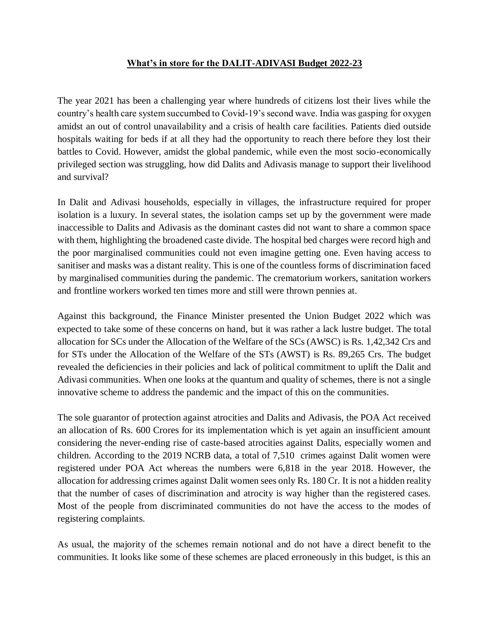## **What's in store for the DALIT-ADIVASI Budget 2022-23**

The year 2021 has been a challenging year where hundreds of citizens lost their lives while the country's health care system succumbed to Covid-19's second wave. India was gasping for oxygen amidst an out of control unavailability and a crisis of health care facilities. Patients died outside hospitals waiting for beds if at all they had the opportunity to reach there before they lost their battles to Covid. However, amidst the global pandemic, while even the most socio-economically privileged section was struggling, how did Dalits and Adivasis manage to support their livelihood and survival?

In Dalit and Adivasi households, especially in villages, the infrastructure required for proper isolation is a luxury. In several states, the isolation camps set up by the government were made inaccessible to Dalits and Adivasis as the dominant castes did not want to share a common space with them, highlighting the broadened caste divide. The hospital bed charges were record high and the poor marginalised communities could not even imagine getting one. Even having access to sanitiser and masks was a distant reality. This is one of the countless forms of discrimination faced by marginalised communities during the pandemic. The crematorium workers, sanitation workers and frontline workers worked ten times more and still were thrown pennies at.

Against this background, the Finance Minister presented the Union Budget 2022 which was expected to take some of these concerns on hand, but it was rather a lack lustre budget. The total allocation for SCs under the Allocation of the Welfare of the SCs (AWSC) is Rs. 1,42,342 Crs and for STs under the Allocation of the Welfare of the STs (AWST) is Rs. 89,265 Crs. The budget revealed the deficiencies in their policies and lack of political commitment to uplift the Dalit and Adivasi communities. When one looks at the quantum and quality of schemes, there is not a single innovative scheme to address the pandemic and the impact of this on the communities.

The sole guarantor of protection against atrocities and Dalits and Adivasis, the POA Act received an allocation of Rs. 600 Crores for its implementation which is yet again an insufficient amount considering the never-ending rise of caste-based atrocities against Dalits, especially women and children. According to the 2019 NCRB data, a total of 7,510 crimes against Dalit women were registered under POA Act whereas the numbers were 6,818 in the year 2018. However, the allocation for addressing crimes against Dalit women sees only Rs. 180 Cr. It is not a hidden reality that the number of cases of discrimination and atrocity is way higher than the registered cases. Most of the people from discriminated communities do not have the access to the modes of registering complaints.

As usual, the majority of the schemes remain notional and do not have a direct benefit to the communities. It looks like some of these schemes are placed erroneously in this budget, is this an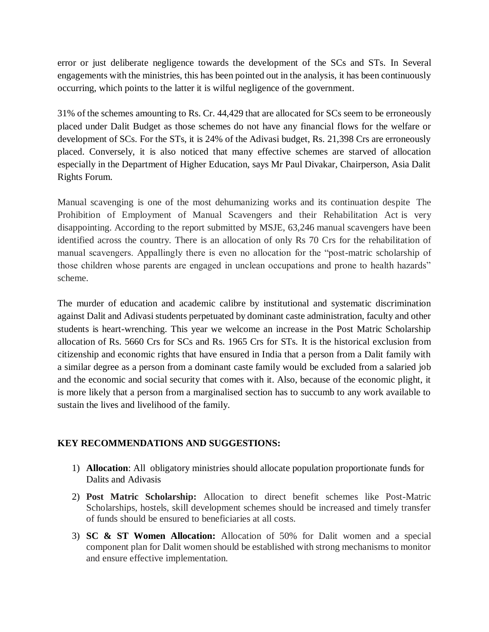error or just deliberate negligence towards the development of the SCs and STs. In Several engagements with the ministries, this has been pointed out in the analysis, it has been continuously occurring, which points to the latter it is wilful negligence of the government.

31% of the schemes amounting to Rs. Cr. 44,429 that are allocated for SCs seem to be erroneously placed under Dalit Budget as those schemes do not have any financial flows for the welfare or development of SCs. For the STs, it is 24% of the Adivasi budget, Rs. 21,398 Crs are erroneously placed. Conversely, it is also noticed that many effective schemes are starved of allocation especially in the Department of Higher Education, says Mr Paul Divakar, Chairperson, Asia Dalit Rights Forum.

Manual scavenging is one of the most dehumanizing works and its continuation despite The Prohibition of Employment of Manual Scavengers and their Rehabilitation Act is very disappointing. According to the report submitted by MSJE, 63,246 manual scavengers have been identified across the country. There is an allocation of only Rs 70 Crs for the rehabilitation of manual scavengers. Appallingly there is even no allocation for the "post-matric scholarship of those children whose parents are engaged in unclean occupations and prone to health hazards" scheme.

The murder of education and academic calibre by institutional and systematic discrimination against Dalit and Adivasi students perpetuated by dominant caste administration, faculty and other students is heart-wrenching. This year we welcome an increase in the Post Matric Scholarship allocation of Rs. 5660 Crs for SCs and Rs. 1965 Crs for STs. It is the historical exclusion from citizenship and economic rights that have ensured in India that a person from a Dalit family with a similar degree as a person from a dominant caste family would be excluded from a salaried job and the economic and social security that comes with it. Also, because of the economic plight, it is more likely that a person from a marginalised section has to succumb to any work available to sustain the lives and livelihood of the family.

## **KEY RECOMMENDATIONS AND SUGGESTIONS:**

- 1) **Allocation**: All obligatory ministries should allocate population proportionate funds for Dalits and Adivasis
- 2) **Post Matric Scholarship:** Allocation to direct benefit schemes like Post-Matric Scholarships, hostels, skill development schemes should be increased and timely transfer of funds should be ensured to beneficiaries at all costs.
- 3) **SC & ST Women Allocation:** Allocation of 50% for Dalit women and a special component plan for Dalit women should be established with strong mechanisms to monitor and ensure effective implementation.